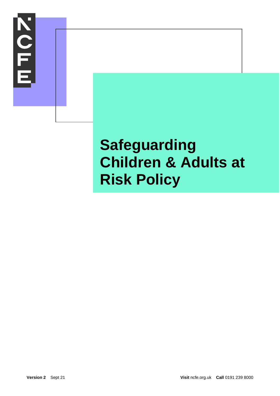

# **Safeguarding Children & Adults at Risk Policy**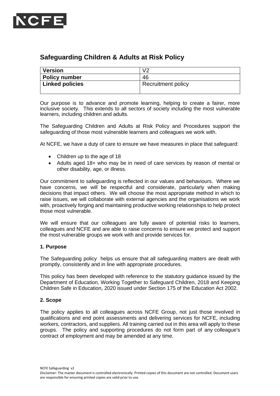

# **Safeguarding Children & Adults at Risk Policy**

| Version                      | V2                 |
|------------------------------|--------------------|
| <b>Policy number</b>         | 46                 |
| <sup>1</sup> Linked policies | Recruitment policy |
|                              |                    |

Our purpose is to advance and promote learning, helping to create a fairer, more inclusive society. This extends to all sectors of society including the most vulnerable learners, including children and adults.

The Safeguarding Children and Adults at Risk Policy and Procedures support the safeguarding of those most vulnerable learners and colleagues we work with.

At NCFE, we have a duty of care to ensure we have measures in place that safeguard:

- Children up to the age of 18
- Adults aged 18+ who may be in need of care services by reason of mental or other disability, age, or illness.

Our commitment to safeguarding is reflected in our values and behaviours. Where we have concerns, we will be respectful and considerate, particularly when making decisions that impact others. We will choose the most appropriate method in which to raise issues, we will collaborate with external agencies and the organisations we work with, proactively forging and maintaining productive working relationships to help protect those most vulnerable.

We will ensure that our colleagues are fully aware of potential risks to learners, colleagues and NCFE and are able to raise concerns to ensure we protect and support the most vulnerable groups we work with and provide services for.

#### **1. Purpose**

The Safeguarding policy helps us ensure that all safeguarding matters are dealt with promptly, consistently and in line with appropriate procedures.

This policy has been developed with reference to the statutory guidance issued by the Department of Education, Working Together to Safeguard Children, 2018 and Keeping Children Safe in Education, 2020 issued under Section 175 of the Education Act 2002.

#### **2. Scope**

The policy applies to all colleagues across NCFE Group, not just those involved in qualifications and end point assessments and delivering services for NCFE, including workers, contractors, and suppliers. All training carried out in this area will apply to these groups. The policy and supporting procedures do not form part of any colleague's contract of employment and may be amended at any time.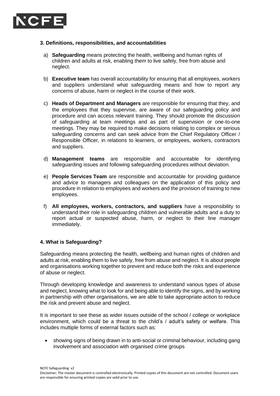

#### **3. Definitions, responsibilities, and accountabilities**

- a) **Safeguarding** means protecting the health, wellbeing and human rights of children and adults at risk, enabling them to live safely, free from abuse and neglect.
- b) **Executive team** has overall accountability for ensuring that all employees, workers and suppliers understand what safeguarding means and how to report any concerns of abuse, harm or neglect in the course of their work.
- c) **Heads of Department and Managers** are responsible for ensuring that they, and the employees that they supervise, are aware of our safeguarding policy and procedure and can access relevant training. They should promote the discussion of safeguarding at team meetings and as part of supervision or one-to-one meetings. They may be required to make decisions relating to complex or serious safeguarding concerns and can seek advice from the Chief Regulatory Officer / Responsible Officer, in relations to learners, or employees, workers, contractors and suppliers.
- d) **Management teams** are responsible and accountable for identifying safeguarding issues and following safeguarding procedures without deviation.
- e) **People Services Team** are responsible and accountable for providing guidance and advice to managers and colleagues on the application of this policy and procedure in relation to employees and workers and the provision of training to new employees.
- f) **All employees, workers, contractors, and suppliers** have a responsibility to understand their role in safeguarding children and vulnerable adults and a duty to report actual or suspected abuse, harm, or neglect to their line manager immediately.

#### **4. What is Safeguarding?**

Safeguarding means protecting the health, wellbeing and human rights of children and adults at risk, enabling them to live safely, free from abuse and neglect. It is about people and organisations working together to prevent and reduce both the risks and experience of abuse or neglect.

Through developing knowledge and awareness to understand various types of abuse and neglect, knowing what to look for and being able to identify the signs, and by working in partnership with other organisations, we are able to take appropriate action to reduce the risk and prevent abuse and neglect.

It is important to see these as wider issues outside of the school / college or workplace environment, which could be a threat to the child's / adult's safety or welfare. This includes multiple forms of external factors such as:

• showing signs of being drawn in to anti-social or criminal behaviour, including gang involvement and association with organised crime groups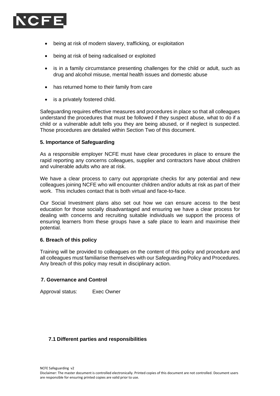

- being at risk of modern slavery, trafficking, or exploitation
- being at risk of being radicalised or exploited
- is in a family circumstance presenting challenges for the child or adult, such as drug and alcohol misuse, mental health issues and domestic abuse
- has returned home to their family from care
- is a privately fostered child.

Safeguarding requires effective measures and procedures in place so that all colleagues understand the procedures that must be followed if they suspect abuse, what to do if a child or a vulnerable adult tells you they are being abused, or if neglect is suspected. Those procedures are detailed within Section Two of this document.

#### **5. Importance of Safeguarding**

As a responsible employer NCFE must have clear procedures in place to ensure the rapid reporting any concerns colleagues, supplier and contractors have about children and vulnerable adults who are at risk.

We have a clear process to carry out appropriate checks for any potential and new colleagues joining NCFE who will encounter children and/or adults at risk as part of their work. This includes contact that is both virtual and face-to-face.

Our Social Investment plans also set out how we can ensure access to the best education for those socially disadvantaged and ensuring we have a clear process for dealing with concerns and recruiting suitable individuals we support the process of ensuring learners from these groups have a safe place to learn and maximise their potential.

#### **6. Breach of this policy**

Training will be provided to colleagues on the content of this policy and procedure and all colleagues must familiarise themselves with our Safeguarding Policy and Procedures. Any breach of this policy may result in disciplinary action.

#### **7. Governance and Control**

Approval status: Exec Owner

#### **7.1 Different parties and responsibilities**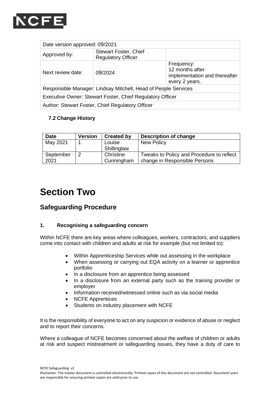

| Date version approved: 09/2021                                 |                                                           |                                                                                  |  |  |
|----------------------------------------------------------------|-----------------------------------------------------------|----------------------------------------------------------------------------------|--|--|
| Approved by:                                                   | <b>Stewart Foster, Chief</b><br><b>Regulatory Officer</b> |                                                                                  |  |  |
| Next review date:                                              | 09/2024                                                   | Frequency:<br>12 months after<br>implementation and thereafter<br>every 2 years. |  |  |
| Responsible Manager: Lindsay Mitchell, Head of People Services |                                                           |                                                                                  |  |  |
| Executive Owner: Stewart Foster, Chief Regulatory Officer      |                                                           |                                                                                  |  |  |
| Author: Stewart Foster, Chief Regulatory Officer               |                                                           |                                                                                  |  |  |

### **7.2 Change History**

| <b>Date</b> | <b>Version</b> | <b>Created by</b> | <b>Description of change</b>              |
|-------------|----------------|-------------------|-------------------------------------------|
| May 2021    |                | Louise            | <b>New Policy</b>                         |
|             |                | Shillinglaw       |                                           |
| September   |                | Christine         | Tweaks to Policy and Procedure to reflect |
| 2021        |                | Cunningham        | change in Responsible Persons             |

# **Section Two**

# **Safeguarding Procedure**

#### **1. Recognising a safeguarding concern**

Within NCFE there are key areas where colleagues, workers, contractors, and suppliers come into contact with children and adults at risk for example (but not limited to):

- Within Apprenticeship Services while out assessing in the workplace
- When assessing or carrying out EQA activity on a learner or apprentice portfolio
- In a disclosure from an apprentice being assessed
- In a disclosure from an external party such as the training provider or employer
- Information received/witnessed online such as via social media
- NCFE Apprentices
- Students on industry placement with NCFE

It is the responsibility of everyone to act on any suspicion or evidence of abuse or neglect and to report their concerns.

Where a colleague of NCFE becomes concerned about the welfare of children or adults at risk and suspect mistreatment or safeguarding issues, they have a duty of care to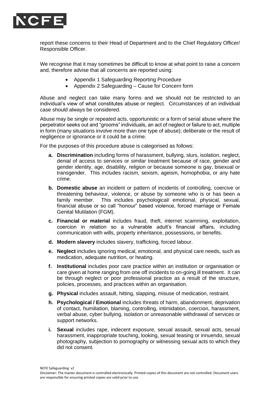

report these concerns to their Head of Department and to the Chief Regulatory Officer/ Responsible Officer.

We recognise that it may sometimes be difficult to know at what point to raise a concern and, therefore advise that all concerns are reported using:

- Appendix 1 Safeguarding Reporting Procedure
- Appendix 2 Safeguarding Cause for Concern form

Abuse and neglect can take many forms and we should not be restricted to an individual's view of what constitutes abuse or neglect. Circumstances of an individual case should always be considered.

Abuse may be single or repeated acts, opportunistic or a form of serial abuse where the perpetrator seeks out and "grooms" individuals, an act of neglect or failure to act, multiple in form (many situations involve more than one type of abuse); deliberate or the result of negligence or ignorance or it could be a crime.

For the purposes of this procedure abuse is categorised as follows:

- **a. Discrimination** including forms of harassment, bullying, slurs, isolation, neglect, denial of access to services or similar treatment because of race, gender and gender identity, age, disability, religion or because someone is gay, bisexual or transgender. This includes racism, sexism, ageism, homophobia, or any hate crime.
- **b. Domestic abuse** an incident or pattern of incidents of controlling, coercive or threatening behaviour, violence, or abuse by someone who is or has been a family member. This includes psychological/ emotional, physical, sexual, financial abuse or so call "honour" based violence, forced marriage or Female Genital Mutilation (FGM).
- **c. Financial or material** includes fraud, theft, internet scamming, exploitation, coercion in relation so a vulnerable adult's financial affairs, including communication with wills, property inheritance, possessions, or benefits.
- **d. Modern slavery** includes slavery, trafficking, forced labour.
- **e. Neglect** includes ignoring medical, emotional, and physical care needs, such as medication, adequate nutrition, or heating.
- **f. Institutional** includes poor care practice within an institution or organisation or care given at home ranging from one off incidents to on-going ill treatment. It can be through neglect or poor professional practice as a result of the structure, policies, processes, and practices within an organisation.
- **g. Physical** includes assault, hitting, slapping, misuse of medication, restraint.
- **h. Psychological / Emotional** includes threats of harm, abandonment, deprivation of contact, humiliation, blaming, controlling, intimidation, coercion, harassment, verbal abuse, cyber bullying, isolation or unreasonable withdrawal of services or support networks.
- **i. Sexual** includes rape, indecent exposure, sexual assault, sexual acts, sexual harassment, inappropriate touching, looking, sexual teasing or innuendo, sexual photography, subjection to pornography or witnessing sexual acts to which they did not consent.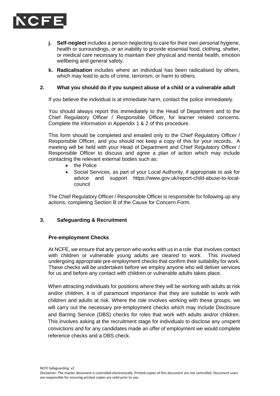

- **j. Self-neglect** includes a person neglecting to care for their own personal hygiene, health or surroundings, or an inability to provide essential food, clothing, shelter, or medical care necessary to maintain their physical and mental health, emotion wellbeing and general safety.
- **k. Radicalisation** includes where an individual has been radicalised by others, which may lead to acts of crime, terrorism, or harm to others.

#### **2. What you should do if you suspect abuse of a child or a vulnerable adult**

If you believe the individual is at immediate harm, contact the police immediately.

You should always report this immediately to the Head of Department and to the Chief Regulatory Officer / Responsible Officer, for learner related concerns. Complete the information in Appendix 1 & 2 of this procedure.

This form should be completed and emailed only to the Chief Regulatory Officer / Responsible Officer, and you should not keep a copy of this for your records. A meeting will be held with your Head of Department and Chief Regulatory Officer / Responsible Officer to discuss and agree a plan of action which may include contacting the relevant external bodies such as:

- the Police
- Social Services, as part of your Local Authority, if appropriate to ask for advice and support [https://www.gov.uk/report-child-abuse-to-local](https://www.gov.uk/report-child-abuse-to-local-council)[council](https://www.gov.uk/report-child-abuse-to-local-council)

The Chief Regulatory Officer / Responsible Officer is responsible for following up any actions, completing Section B of the Cause for Concern Form.

#### **3. Safeguarding & Recruitment**

#### **Pre-employment Checks**

At NCFE, we ensure that any person who works with us in a role that involves contact with children or vulnerable young adults are cleared to work. This involved undergoing appropriate pre-employment checks that confirm their suitability for work. These checks will be undertaken before we employ anyone who will deliver services for us and before any contact with children or vulnerable adults takes place.

When attracting individuals for positions where they will be working with adults at risk and/or children, it is of paramount importance that they are suitable to work with children and adults at risk. Where the role involves working with these groups, we will carry out the necessary pre-employment checks which may include Disclosure and Barring Service (DBS) checks for roles that work with adults and/or children. This involves asking at the recruitment stage for individuals to disclose any unspent convictions and for any candidates made an offer of employment we would complete reference checks and a DBS check.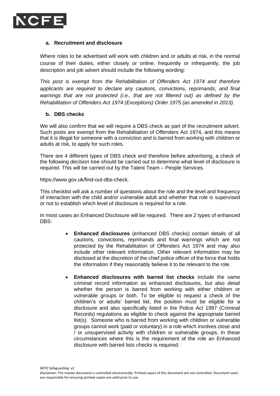

#### **a. Recruitment and disclosure**

Where roles to be advertised will work with children and or adults at risk, in the normal course of their duties, either closely or online, frequently or infrequently, the job description and job advert should include the following wording:

*This post is exempt from the Rehabilitation of Offenders Act 1974 and therefore applicants are required to declare any cautions, convictions, reprimands, and final warnings that are not protected (i.e., that are not filtered out) as defined by the Rehabilitation of Offenders Act 1974 (Exceptions) Order 1975 (as amended in 2013).*

#### **b. DBS checks**

We will also confirm that we will require a DBS check as part of the recruitment advert. Such posts are exempt from the Rehabilitation of Offenders Act 1974, and this means that it is illegal for someone with a conviction and is barred from working with children or adults at risk, to apply for such roles.

There are 4 different types of DBS check and therefore before advertising, a check of the following decision tree should be carried out to determine what level of disclosure is required. This will be carried out by the Talent Team – People Services.

[https://www.gov.uk/find-out-dbs-check.](https://www.gov.uk/find-out-dbs-check)

This checklist will ask a number of questions about the role and the level and frequency of interaction with the child and/or vulnerable adult and whether that role is supervised or not to establish which level of disclosure is required for a role.

In most cases an Enhanced Disclosure will be required. There are 2 types of enhanced DBS:

- **Enhanced disclosures** (enhanced DBS checks) contain details of all cautions, convictions, reprimands and final warnings which are not protected by the Rehabilitation of Offenders Act 1974 and may also include other relevant information. Other relevant information may be disclosed at the discretion of the chief police officer of the force that holds the information if they reasonably believe it to be relevant to the role.
- **Enhanced disclosures with barred list checks** include the same criminal record information as enhanced disclosures, but also detail whether the person is barred from working with either children or vulnerable groups or both. To be eligible to request a check of the children's or adults' barred list, the position must be eligible for a disclosure and also specifically listed in the Police Act 1997 (Criminal Records) regulations as eligible to check against the appropriate barred list(s). Someone who is barred from working with children or vulnerable groups cannot work (paid or voluntary) in a role which involves close and / or unsupervised activity with children or vulnerable groups. In these circumstances where this is the requirement of the role an Enhanced disclosure with barred lists checks is required.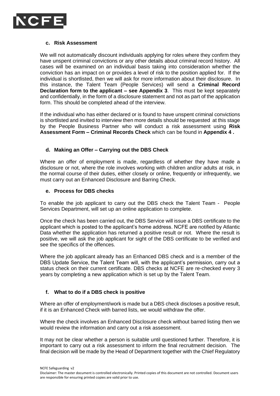

#### **c. Risk Assessment**

We will not automatically discount individuals applying for roles where they confirm they have unspent criminal convictions or any other details about criminal record history. All cases will be examined on an individual basis taking into consideration whether the conviction has an impact on or provides a level of risk to the position applied for. If the individual is shortlisted, then we will ask for more information about their disclosure. In this instance, the Talent Team (People Services) will send a **Criminal Record Declaration form to the applicant – see Appendix 3**. This must be kept separately and confidentially, in the form of a disclosure statement and not as part of the application form. This should be completed ahead of the interview.

If the individual who has either declared or is found to have unspent criminal convictions is shortlisted and invited to interview then more details should be requested at this stage by the People Business Partner who will conduct a risk assessment using **Risk Assessment Form – Criminal Records Check** which can be found in **Appendix 4 .**

#### **d. Making an Offer – Carrying out the DBS Check**

Where an offer of employment is made, regardless of whether they have made a disclosure or not, where the role involves working with children and/or adults at risk, in the normal course of their duties, either closely or online, frequently or infrequently, we must carry out an Enhanced Disclosure and Barring Check.

#### **e. Process for DBS checks**

To enable the job applicant to carry out the DBS check the Talent Team - People Services Department, will set up an online application to complete.

Once the check has been carried out, the DBS Service will issue a DBS certificate to the applicant which is posted to the applicant's home address. NCFE are notified by Atlantic Data whether the application has returned a positive result or not. Where the result is positive, we will ask the job applicant for sight of the DBS certificate to be verified and see the specifics of the offences.

Where the job applicant already has an Enhanced DBS check and is a member of the DBS Update Service, the Talent Team will, with the applicant's permission, carry out a status check on their current certificate. DBS checks at NCFE are re-checked every 3 years by completing a new application which is set up by the Talent Team.

#### **f. What to do if a DBS check is positive**

Where an offer of employment/work is made but a DBS check discloses a positive result, if it is an Enhanced Check with barred lists, we would withdraw the offer.

Where the check involves an Enhanced Disclosure check without barred listing then we would review the information and carry out a risk assessment.

It may not be clear whether a person is suitable until questioned further. Therefore, it is important to carry out a risk assessment to inform the final recruitment decision. The final decision will be made by the Head of Department together with the Chief Regulatory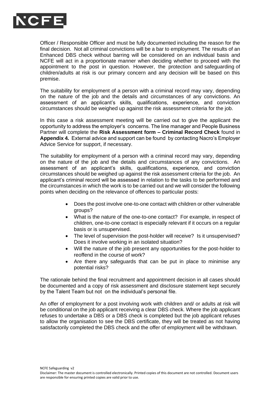

Officer / Responsible Officer and must be fully documented including the reason for the final decision. Not all criminal convictions will be a bar to employment. The results of an Enhanced DBS check without barring will be considered on an individual basis and NCFE will act in a proportionate manner when deciding whether to proceed with the appointment to the post in question. However, the protection and safeguarding of children/adults at risk is our primary concern and any decision will be based on this premise.

The suitability for employment of a person with a criminal record may vary, depending on the nature of the job and the details and circumstances of any convictions. An assessment of an applicant's skills, qualifications, experience, and conviction circumstances should be weighed up against the risk assessment criteria for the job.

In this case a risk assessment meeting will be carried out to give the applicant the opportunity to address the employer's concerns. The line manager and People Business Partner will complete the **Risk Assessment form – Criminal Record Check** found in **Appendix 4.** External advice and support can be found by contacting Nacro's Employer Advice Service for support, if necessary.

The suitability for employment of a person with a criminal record may vary, depending on the nature of the job and the details and circumstances of any convictions. An assessment of an applicant's skills, qualifications, experience, and conviction circumstances should be weighed up against the risk assessment criteria for the job. An applicant's criminal record will be assessed in relation to the tasks to be performed and the circumstances in which the work is to be carried out and we will consider the following points when deciding on the relevance of offences to particular posts:

- Does the post involve one-to-one contact with children or other vulnerable groups?
- What is the nature of the one-to-one contact? For example, in respect of children, one-to-one contact is especially relevant if it occurs on a regular basis or is unsupervised.
- The level of supervision the post-holder will receive? Is it unsupervised? Does it involve working in an isolated situation?
- Will the nature of the job present any opportunities for the post-holder to reoffend in the course of work?
- Are there any safeguards that can be put in place to minimise any potential risks?

The rationale behind the final recruitment and appointment decision in all cases should be documented and a copy of risk assessment and disclosure statement kept securely by the Talent Team but not on the individual's personal file.

An offer of employment for a post involving work with children and/ or adults at risk will be conditional on the job applicant receiving a clear DBS check. Where the job applicant refuses to undertake a DBS or a DBS check is completed but the job applicant refuses to allow the organisation to see the DBS certificate, they will be treated as not having satisfactorily completed the DBS check and the offer of employment will be withdrawn.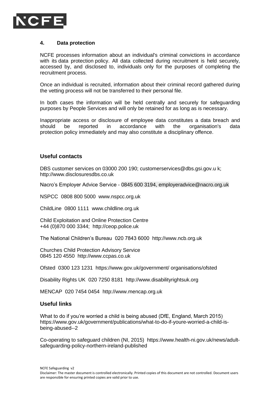

#### **4. Data protection**

NCFE processes information about an individual's criminal convictions in accordance with its [data protection](https://www.xperthr.co.uk/policies-and-documents/data-protection-policy/162690/) policy. All data collected during recruitment is held securely, accessed by, and disclosed to, individuals only for the purposes of completing the recruitment process.

Once an individual is recruited, information about their criminal record gathered during the vetting process will not be transferred to their personal file.

In both cases the information will be held centrally and securely for safeguarding purposes by People Services and will only be retained for as long as is necessary.

Inappropriate access or disclosure of employee data constitutes a data breach and should be reported in accordance with the organisation's data protection policy immediately and may also constitute a disciplinary offence.

#### **Useful contacts**

DBS customer services on 03000 200 190; [customerservices@dbs.gsi.gov.u](mailto:customerservices@dbs.gsi.gov.u) k; [http://www.disclosuresdbs.co.uk](http://www.disclosuresdbs.co.uk/)

Nacro's Employer Advice Service - 0845 600 3194, [employeradvice@nacro.org.uk](mailto:employeradvice@nacro.org.uk)

NSPCC 0808 800 5000 [www.nspcc.org.uk](http://www.nspcc.org.uk/)

ChildLine 0800 1111 [www.childline.org.uk](http://www.childline.org.uk/)

Child Exploitation and Online Protection Centre +44 (0)870 000 3344; [http://ceop.police.uk](http://ceop.police.uk/)

The National Children's Bureau 020 7843 6000 [http://www.ncb.org.uk](http://www.ncb.org.uk/)

Churches Child Protection Advisory Service 0845 120 4550 [http://www.ccpas.co.uk](http://www.ccpas.co.uk/)

Ofsted 0300 123 1231 https://www.gov.uk/government/ organisations/ofsted

Disability Rights UK 020 7250 8181 [http://www.disabilityrightsuk.org](http://www.disabilityrightsuk.org/)

MENCAP 020 7454 0454 [http://www.mencap.org.uk](http://www.mencap.org.uk/)

#### **Useful links**

What to do if you're worried a child is being abused (DfE, England, March 2015) [https://www.gov.uk/government/publications/what-to-do-if-youre-worried-a-child-is](https://www.gov.uk/government/publications/what-to-do-if-youre-worried-a-child-is-being-abused--2)[being-abused--2](https://www.gov.uk/government/publications/what-to-do-if-youre-worried-a-child-is-being-abused--2)

Co-operating to safeguard children (NI, 2015) [https://www.health-ni.gov.uk/news/adult](https://www.health-ni.gov.uk/news/adult-safeguarding-policy-northern-ireland-published)[safeguarding-policy-northern-ireland-published](https://www.health-ni.gov.uk/news/adult-safeguarding-policy-northern-ireland-published)

Disclaimer: The master document is controlled electronically. Printed copies of this document are not controlled. Document users are responsible for ensuring printed copies are valid prior to use.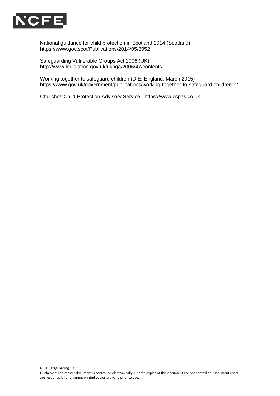

National guidance for child protection in Scotland 2014 (Scotland) <https://www.gov.scot/Publications/2014/05/3052>

Safeguarding Vulnerable Groups Act 2006 (UK) <http://www.legislation.gov.uk/ukpga/2006/47/contents>

Working together to safeguard children (DfE, England, March 2015) <https://www.gov.uk/government/publications/working-together-to-safeguard-children--2>

Churches Child Protection Advisory Service; [https://www.ccpas.co.uk](https://www.ccpas.co.uk/)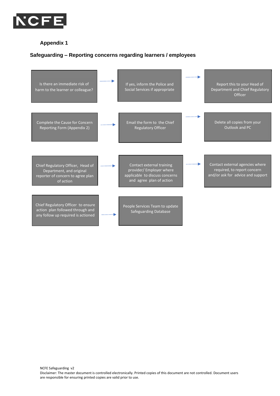

#### **Appendix 1**

#### **Safeguarding – Reporting concerns regarding learners / employees**

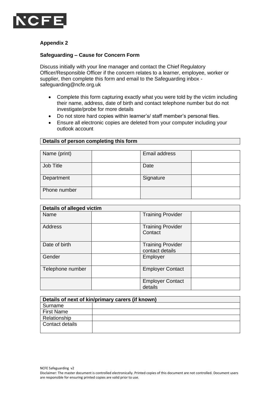

#### **Appendix 2**

Phone number

#### **Safeguarding – Cause for Concern Form**

Discuss initially with your line manager and contact the Chief Regulatory Officer/Responsible Officer if the concern relates to a learner, employee, worker or supplier, then complete this form and email to the Safeguarding inbox [safeguarding@ncfe.org.uk](mailto:safeguarding@ncfe.org.uk)

- Complete this form capturing exactly what you were told by the victim including their name, address, date of birth and contact telephone number but do not investigate/probe for more details
- Do not store hard copies within learner's/ staff member's personal files.
- Ensure all electronic copies are deleted from your computer including your outlook account

| <b>Potano OI Porooni completing this form.</b> |  |               |  |
|------------------------------------------------|--|---------------|--|
|                                                |  |               |  |
| Name (print)                                   |  | Email address |  |
| Job Title                                      |  | Date          |  |

# **Details of person completing this form**

Department Signature

| <b>Details of alleged victim</b> |                                             |  |  |  |
|----------------------------------|---------------------------------------------|--|--|--|
| Name                             | <b>Training Provider</b>                    |  |  |  |
| Address                          | <b>Training Provider</b><br>Contact         |  |  |  |
| Date of birth                    | <b>Training Provider</b><br>contact details |  |  |  |
| Gender                           | Employer                                    |  |  |  |
| Telephone number                 | <b>Employer Contact</b>                     |  |  |  |
|                                  | <b>Employer Contact</b><br>details          |  |  |  |

| Details of next of kin/primary carers (if known) |  |  |
|--------------------------------------------------|--|--|
| Surname                                          |  |  |
| <b>First Name</b>                                |  |  |
| Relationship                                     |  |  |
| l Contact details                                |  |  |
|                                                  |  |  |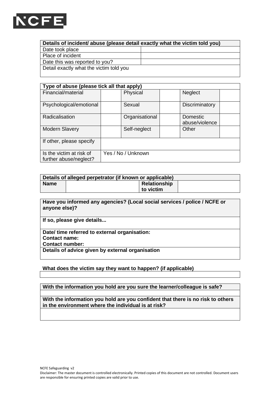

| Details of incident/ abuse (please detail exactly what the victim told you) |  |  |  |
|-----------------------------------------------------------------------------|--|--|--|
| Date took place                                                             |  |  |  |
| Place of incident                                                           |  |  |  |
| Date this was reported to you?                                              |  |  |  |
| Detail exactly what the victim told you                                     |  |  |  |

| Type of abuse (please tick all that apply)         |                    |                            |  |  |
|----------------------------------------------------|--------------------|----------------------------|--|--|
| Financial/material                                 | Physical           | Neglect                    |  |  |
| Psychological/emotional                            | Sexual             | Discriminatory             |  |  |
| Radicalisation                                     | Organisational     | Domestic<br>abuse/violence |  |  |
| <b>Modern Slavery</b>                              | Self-neglect       | Other                      |  |  |
| If other, please specify                           |                    |                            |  |  |
| Is the victim at risk of<br>further abuse/neglect? | Yes / No / Unknown |                            |  |  |

| Details of alleged perpetrator (if known or applicable) |  |              |  |
|---------------------------------------------------------|--|--------------|--|
| <b>Name</b>                                             |  | Relationship |  |
|                                                         |  | to victim    |  |

**Have you informed any agencies? (Local social services / police / NCFE or anyone else)?** 

**If so, please give details...**

**Date/ time referred to external organisation:** 

**Contact name:** 

**Contact number:** 

**Details of advice given by external organisation**

#### **What does the victim say they want to happen? (if applicable)**

**With the information you hold are you sure the learner/colleague is safe?**

**With the information you hold are you confident that there is no risk to others in the environment where the individual is at risk?**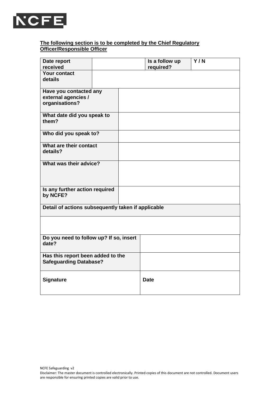

#### **The following section is to be completed by the Chief Regulatory Officer/Responsible Officer**

| Date report<br>received                                            |  | Is a follow up<br>required? | Y/N |
|--------------------------------------------------------------------|--|-----------------------------|-----|
| Your contact<br>details                                            |  |                             |     |
| Have you contacted any<br>external agencies /<br>organisations?    |  |                             |     |
| What date did you speak to<br>them?                                |  |                             |     |
| Who did you speak to?                                              |  |                             |     |
| What are their contact<br>details?                                 |  |                             |     |
| What was their advice?                                             |  |                             |     |
| Is any further action required<br>by NCFE?                         |  |                             |     |
| Detail of actions subsequently taken if applicable                 |  |                             |     |
|                                                                    |  |                             |     |
| Do you need to follow up? If so, insert<br>date?                   |  |                             |     |
| Has this report been added to the<br><b>Safeguarding Database?</b> |  |                             |     |
| <b>Signature</b>                                                   |  | <b>Date</b>                 |     |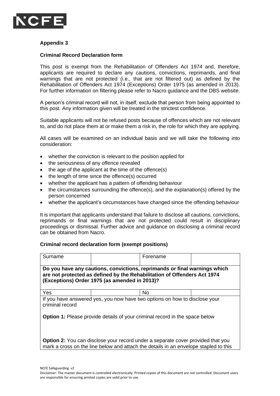

#### **Appendix 3**

#### **Criminal Record Declaration form**

This post is exempt from the Rehabilitation of Offenders Act 1974 and, therefore, applicants are required to declare any cautions, convictions, reprimands, and final warnings that are not protected (i.e., that are not filtered out) as defined by the Rehabilitation of Offenders Act 1974 (Exceptions) Order 1975 (as amended in 2013). For further information on filtering please refer to Nacro guidance and the DBS website.

A person's criminal record will not, in itself, exclude that person from being appointed to this post. Any information given will be treated in the strictest confidence.

Suitable applicants will not be refused posts because of offences which are not relevant to, and do not place them at or make them a risk in, the role for which they are applying.

All cases will be examined on an individual basis and we will take the following into consideration:

- whether the conviction is relevant to the position applied for
- the seriousness of any offence revealed
- the age of the applicant at the time of the offence(s)
- the length of time since the offence(s) occurred
- whether the applicant has a pattern of offending behaviour
- the circumstances surrounding the offence(s), and the explanation(s) offered by the person concerned
- whether the applicant's circumstances have changed since the offending behaviour

It is important that applicants understand that failure to disclose all cautions, convictions, reprimands or final warnings that are not protected could result in disciplinary proceedings or dismissal. Further advice and guidance on disclosing a criminal record can be obtained from Nacro.

#### **Criminal record declaration form (exempt positions)**

| Surname                                                                                                                                                                                                | Forename |  |  |  |
|--------------------------------------------------------------------------------------------------------------------------------------------------------------------------------------------------------|----------|--|--|--|
| Do you have any cautions, convictions, reprimands or final warnings which<br>are not protected as defined by the Rehabilitation of Offenders Act 1974<br>(Exceptions) Order 1975 (as amended in 2013)? |          |  |  |  |
| <b>Yes</b>                                                                                                                                                                                             | No.      |  |  |  |
| If you have answered yes, you now have two options on how to disclose your<br>criminal record                                                                                                          |          |  |  |  |
| <b>Option 1:</b> Please provide details of your criminal record in the space below                                                                                                                     |          |  |  |  |
| <b>Option 2:</b> You can disclose your record under a separate cover provided that you<br>mark a cross on the line below and attach the details in an envelope stapled to this                         |          |  |  |  |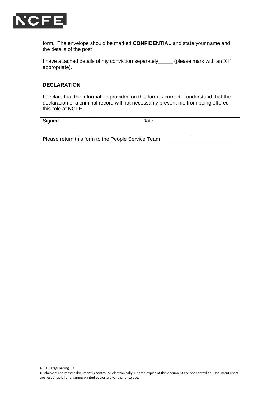

form. The envelope should be marked **CONFIDENTIAL** and state your name and the details of the post

I have attached details of my conviction separately (please mark with an X if appropriate).

#### **DECLARATION**

I declare that the information provided on this form is correct. I understand that the declaration of a criminal record will not necessarily prevent me from being offered this role at NCFE

| Signed                                             |  | Date |  |  |
|----------------------------------------------------|--|------|--|--|
| Please return this form to the People Service Team |  |      |  |  |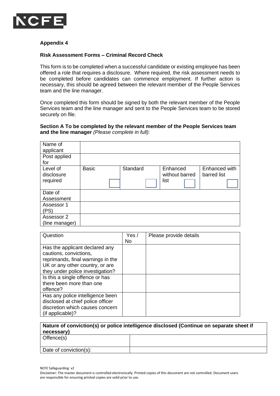

#### **Appendix 4**

#### **Risk Assessment Forms – Criminal Record Check**

This form is to be completed when a successful candidate or existing employee has been offered a role that requires a disclosure. Where required, the risk assessment needs to be completed before candidates can commence employment. If further action is necessary, this should be agreed between the relevant member of the People Services team and the line manager.

Once completed this form should be signed by both the relevant member of the People Services team and the line manager and sent to the People Services team to be stored securely on file.

#### **Section A To be completed by the relevant member of the People Services team and the line manager** *(Please complete in full):*

| Name of<br>applicant               |              |          |                                    |                              |
|------------------------------------|--------------|----------|------------------------------------|------------------------------|
| Post applied<br>for                |              |          |                                    |                              |
| Level of<br>disclosure<br>required | <b>Basic</b> | Standard | Enhanced<br>without barred<br>list | Enhanced with<br>barred list |
| Date of<br>Assessment              |              |          |                                    |                              |
| Assessor 1<br>(PS)                 |              |          |                                    |                              |
| Assessor 2<br>(line manager)       |              |          |                                    |                              |

| Question                                                                                                                                                             | Yes/ | Please provide details |
|----------------------------------------------------------------------------------------------------------------------------------------------------------------------|------|------------------------|
|                                                                                                                                                                      | No   |                        |
| Has the applicant declared any<br>cautions, convictions,<br>reprimands, final warnings in the<br>UK or any other country, or are<br>they under police investigation? |      |                        |
| Is this a single offence or has<br>there been more than one<br>offence?                                                                                              |      |                        |
| Has any police intelligence been<br>disclosed at chief police officer<br>discretion which causes concern<br>(if applicable)?                                         |      |                        |

| Nature of conviction(s) or police intelligence disclosed (Continue on separate sheet if<br>necessary) |  |  |
|-------------------------------------------------------------------------------------------------------|--|--|
| Offence(s)                                                                                            |  |  |
| Date of conviction(s):                                                                                |  |  |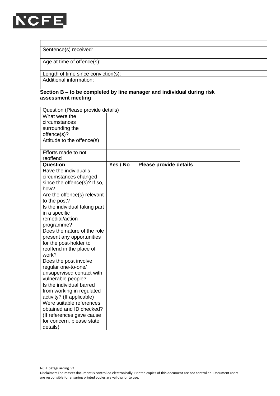

| Sentence(s) received:               |  |
|-------------------------------------|--|
|                                     |  |
| Age at time of offence(s):          |  |
| Length of time since conviction(s): |  |
| Additional information:             |  |

## **Section B – to be completed by line manager and individual during risk assessment meeting**

| Question (Please provide details) |          |                               |  |
|-----------------------------------|----------|-------------------------------|--|
| What were the                     |          |                               |  |
| circumstances                     |          |                               |  |
| surrounding the                   |          |                               |  |
| offence(s)?                       |          |                               |  |
| Attitude to the offence(s)        |          |                               |  |
|                                   |          |                               |  |
| Efforts made to not               |          |                               |  |
| reoffend                          |          |                               |  |
| Question                          | Yes / No | <b>Please provide details</b> |  |
| Have the individual's             |          |                               |  |
| circumstances changed             |          |                               |  |
| since the offence(s)? If so,      |          |                               |  |
| how?                              |          |                               |  |
| Are the offence(s) relevant       |          |                               |  |
| to the post?                      |          |                               |  |
| Is the individual taking part     |          |                               |  |
| in a specific                     |          |                               |  |
| remedial/action                   |          |                               |  |
| programme?                        |          |                               |  |
| Does the nature of the role       |          |                               |  |
| present any opportunities         |          |                               |  |
| for the post-holder to            |          |                               |  |
| reoffend in the place of          |          |                               |  |
| work?                             |          |                               |  |
| Does the post involve             |          |                               |  |
| regular one-to-one/               |          |                               |  |
| unsupervised contact with         |          |                               |  |
| vulnerable people?                |          |                               |  |
| Is the individual barred          |          |                               |  |
| from working in regulated         |          |                               |  |
| activity? (If applicable)         |          |                               |  |
| Were suitable references          |          |                               |  |
| obtained and ID checked?          |          |                               |  |
| (If references gave cause         |          |                               |  |
| for concern, please state         |          |                               |  |
| details)                          |          |                               |  |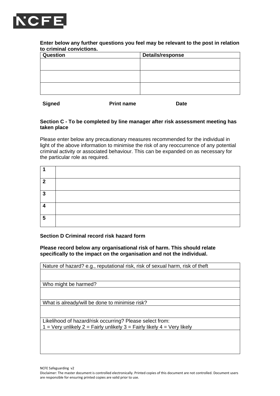

#### **Enter below any further questions you feel may be relevant to the post in relation to criminal convictions.**

| Question | Details/response |  |  |
|----------|------------------|--|--|
|          |                  |  |  |
|          |                  |  |  |
|          |                  |  |  |
|          |                  |  |  |
|          |                  |  |  |
|          |                  |  |  |

**Signed Print name Date**

#### **Section C - To be completed by line manager after risk assessment meeting has taken place**

Please enter below any precautionary measures recommended for the individual in light of the above information to minimise the risk of any reoccurrence of any potential criminal activity or associated behaviour. This can be expanded on as necessary for the particular role as required.

| 2 |  |
|---|--|
| 3 |  |
| 4 |  |
| 5 |  |

#### **Section D Criminal record risk hazard form**

**Please record below any organisational risk of harm. This should relate specifically to the impact on the organisation and not the individual.**

| Nature of hazard? e.g., reputational risk, risk of sexual harm, risk of theft |
|-------------------------------------------------------------------------------|
|                                                                               |
|                                                                               |
| Who might be harmed?                                                          |
|                                                                               |
|                                                                               |
| What is already/will be done to minimise risk?                                |
|                                                                               |
|                                                                               |
| Likelihood of hazard/risk occurring? Please select from:                      |
| 1 = Very unlikely 2 = Fairly unlikely 3 = Fairly likely 4 = Very likely       |
|                                                                               |
|                                                                               |
|                                                                               |